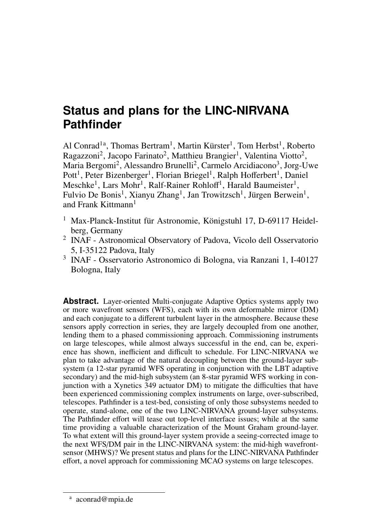# **Status and plans for the LINC-NIRVANA Pathfinder**

Al Conrad<sup>1a</sup>, Thomas Bertram<sup>1</sup>, Martin Kürster<sup>1</sup>, Tom Herbst<sup>1</sup>, Roberto Ragazzoni<sup>2</sup>, Jacopo Farinato<sup>2</sup>, Matthieu Brangier<sup>1</sup>, Valentina Viotto<sup>2</sup>, Maria Bergomi<sup>2</sup>, Alessandro Brunelli<sup>2</sup>, Carmelo Arcidiacono<sup>3</sup>, Jorg-Uwe Pott<sup>1</sup>, Peter Bizenberger<sup>1</sup>, Florian Briegel<sup>1</sup>, Ralph Hofferbert<sup>1</sup>, Daniel Meschke<sup>1</sup>, Lars Mohr<sup>1</sup>, Ralf-Rainer Rohloff<sup>1</sup>, Harald Baumeister<sup>1</sup>, Fulvio De Bonis<sup>1</sup>, Xianyu Zhang<sup>1</sup>, Jan Trowitzsch<sup>1</sup>, Jürgen Berwein<sup>1</sup>, and Frank Kittmann<sup>1</sup>

- <sup>1</sup> Max-Planck-Institut für Astronomie, Königstuhl 17, D-69117 Heidelberg, Germany
- 2 INAF Astronomical Observatory of Padova, Vicolo dell Osservatorio 5, I-35122 Padova, Italy
- 3 INAF Osservatorio Astronomico di Bologna, via Ranzani 1, I-40127 Bologna, Italy

**Abstract.** Layer-oriented Multi-conjugate Adaptive Optics systems apply two or more wavefront sensors (WFS), each with its own deformable mirror (DM) and each conjugate to a different turbulent layer in the atmosphere. Because these sensors apply correction in series, they are largely decoupled from one another, lending them to a phased commissioning approach. Commissioning instruments on large telescopes, while almost always successful in the end, can be, experience has shown, inefficient and difficult to schedule. For LINC-NIRVANA we plan to take advantage of the natural decoupling between the ground-layer subsystem (a 12-star pyramid WFS operating in conjunction with the LBT adaptive secondary) and the mid-high subsystem (an 8-star pyramid WFS working in conjunction with a Xynetics 349 actuator DM) to mitigate the difficulties that have been experienced commissioning complex instruments on large, over-subscribed, telescopes. Pathfinder is a test-bed, consisting of only those subsystems needed to operate, stand-alone, one of the two LINC-NIRVANA ground-layer subsystems. The Pathfinder effort will tease out top-level interface issues; while at the same time providing a valuable characterization of the Mount Graham ground-layer. To what extent will this ground-layer system provide a seeing-corrected image to the next WFS/DM pair in the LINC-NIRVANA system: the mid-high wavefrontsensor (MHWS)? We present status and plans for the LINC-NIRVANA Pathfinder effort, a novel approach for commissioning MCAO systems on large telescopes.

a aconrad@mpia.de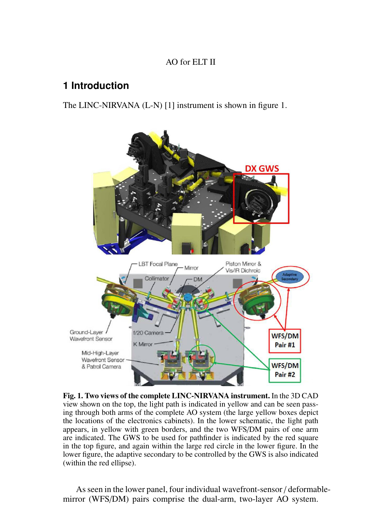#### AO for ELT II

# **1 Introduction**

The LINC-NIRVANA (L-N) [1] instrument is shown in figure 1.



Fig. 1. Two views of the complete LINC-NIRVANA instrument. In the 3D CAD view shown on the top, the light path is indicated in yellow and can be seen passing through both arms of the complete AO system (the large yellow boxes depict the locations of the electronics cabinets). In the lower schematic, the light path appears, in yellow with green borders, and the two WFS/DM pairs of one arm are indicated. The GWS to be used for pathfinder is indicated by the red square in the top figure, and again within the large red circle in the lower figure. In the lower figure, the adaptive secondary to be controlled by the GWS is also indicated (within the red ellipse).

As seen in the lower panel, four individual wavefront-sensor / deformablemirror (WFS/DM) pairs comprise the dual-arm, two-layer AO system.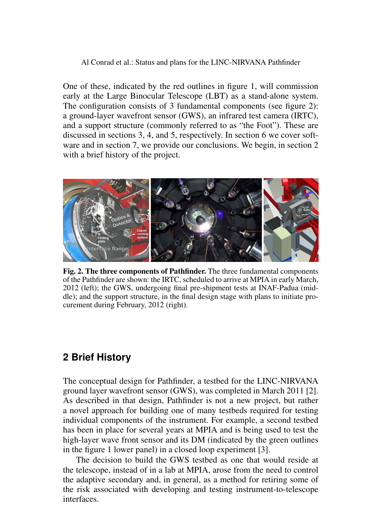#### Al Conrad et al.: Status and plans for the LINC-NIRVANA Pathfinder

One of these, indicated by the red outlines in figure 1, will commission early at the Large Binocular Telescope (LBT) as a stand-alone system. The configuration consists of 3 fundamental components (see figure 2): a ground-layer wavefront sensor (GWS), an infrared test camera (IRTC), and a support structure (commonly referred to as "the Foot"). These are discussed in sections 3, 4, and 5, respectively. In section 6 we cover software and in section 7, we provide our conclusions. We begin, in section 2 with a brief history of the project.



Fig. 2. The three components of Pathfinder. The three fundamental components of the Pathfinder are shown: the IRTC, scheduled to arrive at MPIA in early March, 2012 (left); the GWS, undergoing final pre-shipment tests at INAF-Padua (middle); and the support structure, in the final design stage with plans to initiate procurement during February, 2012 (right).

#### **2 Brief History**

The conceptual design for Pathfinder, a testbed for the LINC-NIRVANA ground layer wavefront sensor (GWS), was completed in March 2011 [2]. As described in that design, Pathfinder is not a new project, but rather a novel approach for building one of many testbeds required for testing individual components of the instrument. For example, a second testbed has been in place for several years at MPIA and is being used to test the high-layer wave front sensor and its DM (indicated by the green outlines in the figure 1 lower panel) in a closed loop experiment [3].

The decision to build the GWS testbed as one that would reside at the telescope, instead of in a lab at MPIA, arose from the need to control the adaptive secondary and, in general, as a method for retiring some of the risk associated with developing and testing instrument-to-telescope interfaces.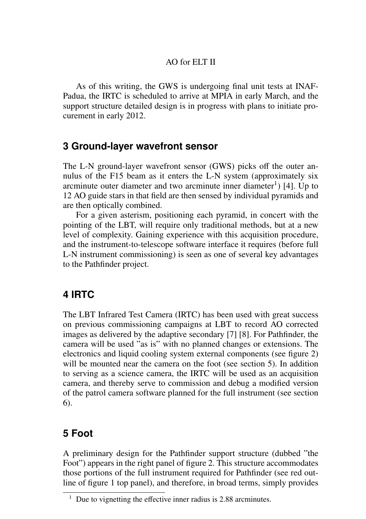#### AO for ELT II

As of this writing, the GWS is undergoing final unit tests at INAF-Padua, the IRTC is scheduled to arrive at MPIA in early March, and the support structure detailed design is in progress with plans to initiate procurement in early 2012.

#### **3 Ground-layer wavefront sensor**

The L-N ground-layer wavefront sensor (GWS) picks off the outer annulus of the F15 beam as it enters the L-N system (approximately six arcminute outer diameter and two arcminute inner diameter<sup>1</sup>) [4]. Up to 12 AO guide stars in that field are then sensed by individual pyramids and are then optically combined.

For a given asterism, positioning each pyramid, in concert with the pointing of the LBT, will require only traditional methods, but at a new level of complexity. Gaining experience with this acquisition procedure, and the instrument-to-telescope software interface it requires (before full L-N instrument commissioning) is seen as one of several key advantages to the Pathfinder project.

### **4 IRTC**

The LBT Infrared Test Camera (IRTC) has been used with great success on previous commissioning campaigns at LBT to record AO corrected images as delivered by the adaptive secondary [7] [8]. For Pathfinder, the camera will be used "as is" with no planned changes or extensions. The electronics and liquid cooling system external components (see figure 2) will be mounted near the camera on the foot (see section 5). In addition to serving as a science camera, the IRTC will be used as an acquisition camera, and thereby serve to commission and debug a modified version of the patrol camera software planned for the full instrument (see section 6).

## **5 Foot**

A preliminary design for the Pathfinder support structure (dubbed "the Foot") appears in the right panel of figure 2. This structure accommodates those portions of the full instrument required for Pathfinder (see red outline of figure 1 top panel), and therefore, in broad terms, simply provides

 $1$  Due to vignetting the effective inner radius is 2.88 arcminutes.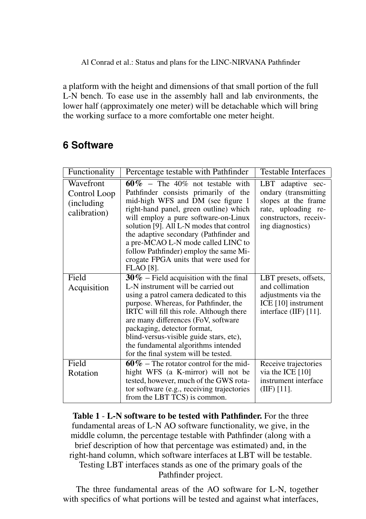Al Conrad et al.: Status and plans for the LINC-NIRVANA Pathfinder

a platform with the height and dimensions of that small portion of the full L-N bench. To ease use in the assembly hall and lab environments, the lower half (approximately one meter) will be detachable which will bring the working surface to a more comfortable one meter height.

# **6 Software**

| Functionality                                            | Percentage testable with Pathfinder                                                                                                                                                                                                                                                                                                                                                                                           | <b>Testable Interfaces</b>                                                                                                            |
|----------------------------------------------------------|-------------------------------------------------------------------------------------------------------------------------------------------------------------------------------------------------------------------------------------------------------------------------------------------------------------------------------------------------------------------------------------------------------------------------------|---------------------------------------------------------------------------------------------------------------------------------------|
| Wavefront<br>Control Loop<br>(including)<br>calibration) | $60\%$ – The 40% not testable with<br>Pathfinder consists primarily of the<br>mid-high WFS and DM (see figure 1<br>right-hand panel, green outline) which<br>will employ a pure software-on-Linux<br>solution [9]. All L-N modes that control<br>the adaptive secondary (Pathfinder and<br>a pre-MCAO L-N mode called LINC to<br>follow Pathfinder) employ the same Mi-<br>crogate FPGA units that were used for<br>FLAO [8]. | LBT adaptive sec-<br>ondary (transmitting)<br>slopes at the frame<br>rate, uploading re-<br>constructors, receiv-<br>ing diagnostics) |
| Field<br>Acquisition                                     | $30\%$ – Field acquisition with the final<br>L-N instrument will be carried out<br>using a patrol camera dedicated to this<br>purpose. Whereas, for Pathfinder, the<br>IRTC will fill this role. Although there<br>are many differences (FoV, software<br>packaging, detector format,<br>blind-versus-visible guide stars, etc),<br>the fundamental algorithms intended<br>for the final system will be tested.               | LBT presets, offsets,<br>and collimation<br>adjustments via the<br>ICE [10] instrument<br>interface (IIF) [11].                       |
| Field<br>Rotation                                        | $60\%$ – The rotator control for the mid-<br>hight WFS (a K-mirror) will not be<br>tested, however, much of the GWS rota-<br>tor software (e.g., receiving trajectories<br>from the LBT TCS) is common.                                                                                                                                                                                                                       | Receive trajectories<br>via the ICE [10]<br>instrument interface<br>(IIIF) [11].                                                      |

Table 1 - L-N software to be tested with Pathfinder. For the three fundamental areas of L-N AO software functionality, we give, in the middle column, the percentage testable with Pathfinder (along with a brief description of how that percentage was estimated) and, in the right-hand column, which software interfaces at LBT will be testable. Testing LBT interfaces stands as one of the primary goals of the Pathfinder project.

The three fundamental areas of the AO software for L-N, together with specifics of what portions will be tested and against what interfaces,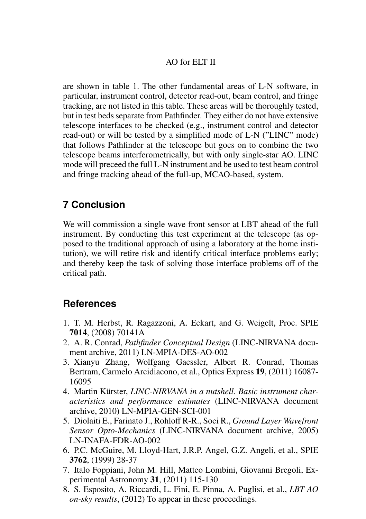#### AO for ELT II

are shown in table 1. The other fundamental areas of L-N software, in particular, instrument control, detector read-out, beam control, and fringe tracking, are not listed in this table. These areas will be thoroughly tested, but in test beds separate from Pathfinder. They either do not have extensive telescope interfaces to be checked (e.g., instrument control and detector read-out) or will be tested by a simplified mode of L-N ("LINC" mode) that follows Pathfinder at the telescope but goes on to combine the two telescope beams interferometrically, but with only single-star AO. LINC mode will preceed the full L-N instrument and be used to test beam control and fringe tracking ahead of the full-up, MCAO-based, system.

### **7 Conclusion**

We will commission a single wave front sensor at LBT ahead of the full instrument. By conducting this test experiment at the telescope (as opposed to the traditional approach of using a laboratory at the home institution), we will retire risk and identify critical interface problems early; and thereby keep the task of solving those interface problems off of the critical path.

### **References**

- 1. T. M. Herbst, R. Ragazzoni, A. Eckart, and G. Weigelt, Proc. SPIE 7014, (2008) 70141A
- 2. A. R. Conrad, *Pathfinder Conceptual Design* (LINC-NIRVANA document archive, 2011) LN-MPIA-DES-AO-002
- 3. Xianyu Zhang, Wolfgang Gaessler, Albert R. Conrad, Thomas Bertram, Carmelo Arcidiacono, et al., Optics Express 19, (2011) 16087- 16095
- 4. Martin Kürster, *LINC-NIRVANA in a nutshell*. Basic instrument char*acteristics and performance estimates* (LINC-NIRVANA document archive, 2010) LN-MPIA-GEN-SCI-001
- 5. Diolaiti E., Farinato J., Rohloff R-R., Soci R., *Ground Layer Wavefront Sensor Opto-Mechanics* (LINC-NIRVANA document archive, 2005) LN-INAFA-FDR-AO-002
- 6. P.C. McGuire, M. Lloyd-Hart, J.R.P. Angel, G.Z. Angeli, et al., SPIE 3762, (1999) 28-37
- 7. Italo Foppiani, John M. Hill, Matteo Lombini, Giovanni Bregoli, Experimental Astronomy 31, (2011) 115-130
- 8. S. Esposito, A. Riccardi, L. Fini, E. Pinna, A. Puglisi, et al., *LBT AO on-sky results*, (2012) To appear in these proceedings.